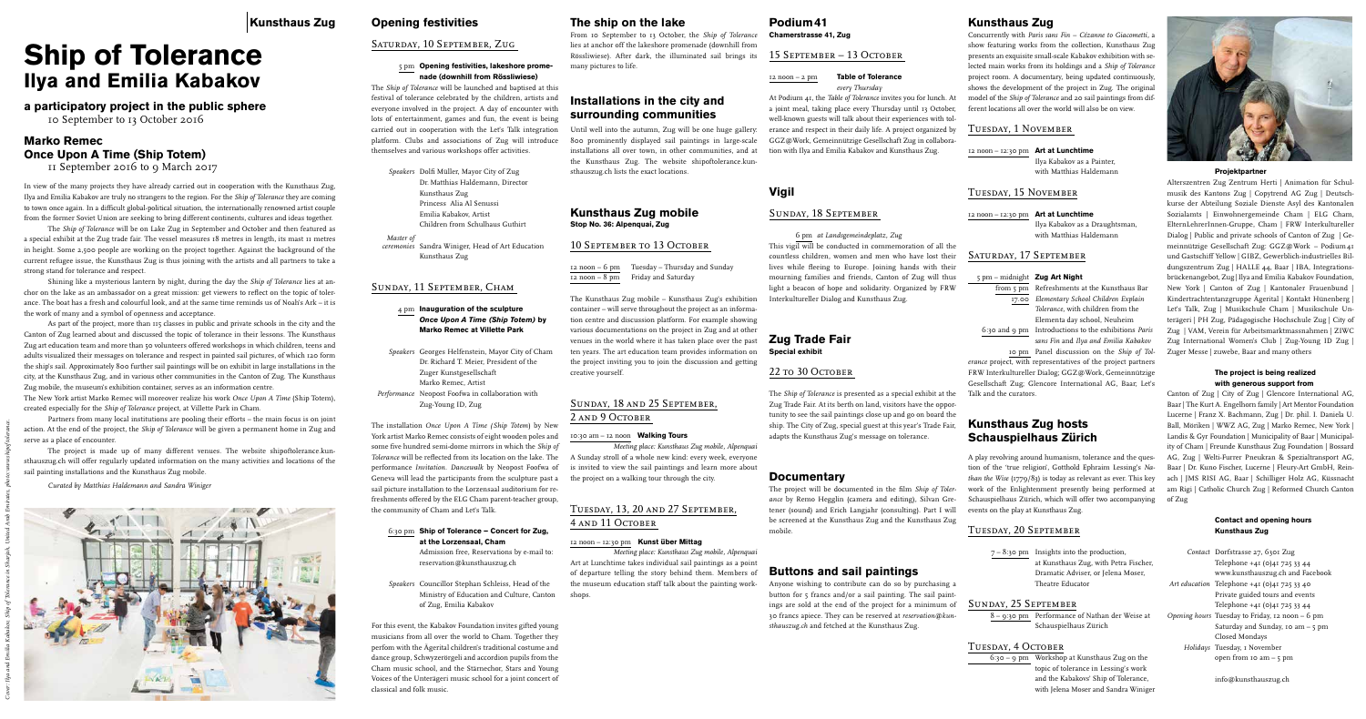# **Opening festivities**

## Saturday, 10 September, Zug

#### 5 pm **Opening festivities, lakeshore promenade (downhill from Rössliwiese)**

The *Ship of Tolerance* will be launched and baptised at this festival of tolerance celebrated by the children, artists and everyone involved in the project. A day of encounter with lots of entertainment, games and fun, the event is being carried out in cooperation with the Let's Talk integration platform. Clubs and associations of Zug will introduce themselves and various workshops offer activities.

*Speakers* Dolfi Müller, Mayor City of Zug Dr. Matthias Haldemann, Director Kunsthaus Zug Princess Alia Al Senussi Emilia Kabakov, Artist Children from Schulhaus Guthirt

*Master of* 

*ceremonies* Sandra Winiger, Head of Art Education Kunsthaus Zug

## Sunday, 11 September, Cham

4 pm **Inauguration of the sculpture** *Once Upon A Time (Ship Totem)* **by Marko Remec at Villette Park** 

- *Speakers* Georges Helfenstein, Mayor City of Cham Dr. Richard T. Meier, President of the Zuger Kunstgesellschaft Marko Remec, Artist
- *Performance* Neopost Foofwa in collaboration with Zug-Young ID, Zug

The installation *Once Upon A Time (Ship Totem*) by New York artist Marko Remec consists of eight wooden poles and some five hundred semi-dome mirrors in which the *Ship of Tolerance* will be reflected from its location on the lake. The performance *Invitation*. *Dancewalk* by Neopost Foofwa of Geneva will lead the participants from the sculpture past a sail picture installation to the Lorzensaal auditorium for refreshments offered by the ELG Cham parent-teacher group, the community of Cham and Let's Talk.

#### 6:30 pm **Ship of Tolerance – Concert for Zug, at the Lorzensaal, Cham**

## Sunday, 18 and 25 September, 2 AND 9 OCTOBER

Admission free, Reservations by e-mail to: reservation@kunsthauszug.ch

*Speakers* Councillor Stephan Schleiss, Head of the Ministry of Education and Culture, Canton of Zug, Emilia Kabakov

For this event, the Kabakov Foundation invites gifted young musicians from all over the world to Cham. Together they perfom with the Ägerital children's traditional costume and dance group, Schwyzerörgeli and accordion pupils from the Cham music school, and the Stärnechor, Stars and Young Voices of the Unterägeri music school for a joint concert of classical and folk music.

# **The ship on the lake**

From 10 September to 13 October, the *Ship of Tolerance* lies at anchor off the lakeshore promenade (downhill from Rössliwiese). After dark, the illuminated sail brings its many pictures to life.

# **Installations in the city and surrounding communities**

Until well into the autumn, Zug will be one huge gallery: 800 prominently displayed sail paintings in large-scale installations all over town, in other communities, and at the Kunsthaus Zug. The website shipoftolerance.kunsthauszug.ch lists the exact locations.

# **Kunsthaus Zug mobile**

**Stop No. 36: Alpenquai, Zug** 

## 10 SEPTEMBER TO 13 OCTOBER

| $12 \text{ noon} - 6 \text{ pm}$ | Tuesday – Thursday and Sunday |
|----------------------------------|-------------------------------|
| $12 \text{ noon} - 8 \text{ pm}$ | Friday and Saturday           |

The Kunsthaus Zug mobile – Kunsthaus Zug's exhibition container – will serve throughout the project as an information centre and discussion platform. For example showing various documentations on the project in Zug and at other venues in the world where it has taken place over the past ten years. The art education team provides information on the project inviting you to join the discussion and getting creative yourself.

#### 10:30 am – 12 noon **Walking Tours**

*Meeting place: Kunsthaus Zug mobile, Alpenquai* A Sunday stroll of a whole new kind: every week, everyone is invited to view the sail paintings and learn more about the project on a walking tour through the city.

## Tuesday, 13, 20 and 27 September, 4 and 11 October

#### 12 noon – 12:30 pm **Kunst über Mittag**

*Meeting place: Kunsthaus Zug mobile, Alpenquai* Art at Lunchtime takes individual sail paintings as a point of departure telling the story behind them. Members of the museum education staff talk about the painting workshops.

### **Podium41 Chamerstrasse 41, Zug**

#### 15 September – 13 October

12 noon – 2 pm **Table of Tolerance** *every Thursday*

At Podium 41, the *Table of Tolerance* invites you for lunch. At a joint meal, taking place every Thursday until 13 October, well-known guests will talk about their experiences with tolerance and respect in their daily life. A project organized by GGZ@Work, Gemeinnützige Gesellschaft Zug in collaboration with Ilya and Emilia Kabakov and Kunsthaus Zug.

## **Vigil**

#### Sunday, 18 September

6 pm *at Landsgemeindeplatz, Zug*

This vigil will be conducted in commemoration of all the countless children, women and men who have lost their lives while fleeing to Europe. Joining hands with their mourning families and friends, Canton of Zug will thus light a beacon of hope and solidarity. Organized by FRW Interkultureller Dialog and Kunsthaus Zug.

#### **Zug Trade Fair Special exhibit**

22 to 30 OCTOBER

The *Ship of Tolerance* is presented as a special exhibit at the Zug Trade Fair. At its berth on land, visitors have the opportunity to see the sail paintings close up and go on board the ship. The City of Zug, special guest at this year's Trade Fair, adapts the Kunsthaus Zug's message on tolerance.

## **Documentary**

The project will be documented in the film *Ship of Tolerance* by Remo Hegglin (camera and editing), Silvan Gretener (sound) and Erich Langjahr (consulting). Part I will be screened at the Kunsthaus Zug and the Kunsthaus Zug mobile.

# **Buttons and sail paintings**

Anyone wishing to contribute can do so by purchasing a button for 5 francs and/or a sail painting. The sail paintings are sold at the end of the project for a minimum of 30 francs apiece. They can be reserved at *reservation@kunsthauszug.ch* and fetched at the Kunsthaus Zug.

# **Kunsthaus Zug**

Concurrently with *Paris sans Fin – Cézanne to Giacometti,* a show featuring works from the collection, Kunsthaus Zug presents an exquisite small-scale Kabakov exhibition with selected main works from its holdings and a *Ship of Tolerance* project room. A documentary, being updated continuously, shows the development of the project in Zug. The original model of the *Ship of Tolerance* and 20 sail paintings from different locations all over the world will also be on view.

## Tuesday, 1 November

12 noon – 12:30 pm **Art at Lunchtime**

Ilya Kabakov as a Painter, with Matthias Haldemann

## Tuesday, 15 November

12 noon – 12:30 pm **Art at Lunchtime**

Ilya Kabakov as a Draughtsman, with Matthias Haldemann

## Saturday, 17 September

#### 5 pm – midnight **Zug Art Night**

from 5 pm Refreshments at the Kunsthaus Bar 17.00 *Elementary School Children Explain Tolerance,* with children from the Elementa day school, Neuheim 6:30 and 9 pm Introductions to the exhibitions *Paris* 

*sans Fin* and *Ilya and Emilia Kabakov* 10 pm Panel discussion on the *Ship of Tol-*

*erance* project, with representatives of the project partners FRW Interkultureller Dialog; GGZ@Work, Gemeinnützige Gesellschaft Zug; Glencore International AG, Baar; Let's Talk and the curators.

## **Kunsthaus Zug hosts Schauspielhaus Zürich**

A play revolving around humanism, tolerance and the question of the 'true religion', Gotthold Ephraim Lessing's *Nathan the Wise* (1779/83) is today as relevant as ever. This key work of the Enlightenment presently being performed at Schauspielhaus Zürich, which will offer two accompanying of Zug events on the play at Kunsthaus Zug.

## Tuesday, 20 September

7 – 8:30 pm Insights into the production, at Kunsthaus Zug, with Petra Fischer, Dramatic Adviser, or Jelena Moser, Theatre Educator

#### Sunday, 25 September

8 – 9:30 pm Performance of Nathan der Weise at Schauspielhaus Zürich

#### TUESDAY, 4 OCTOBER

6:30 – 9 pm Workshop at Kunsthaus Zug on the topic of tolerance in Lessing's work and the Kabakovs' Ship of Tolerance, with Jelena Moser and Sandra Winiger



#### **Projektpartner**

Alterszentren Zug Zentrum Herti | Animation für Schulmusik des Kantons Zug | Copytrend AG Zug | Deutschkurse der Abteilung Soziale Dienste Asyl des Kantonalen Sozialamts | Einwohnergemeinde Cham | ELG Cham, ElternLehrerInnen-Gruppe, Cham | FRW Interkultureller Dialog | Public and private schools of Canton of Zug | Gemeinnützige Gesellschaft Zug: GGZ@Work – Podium41 und Gastschiff Yellow | GIBZ, Gewerblich-industrielles Bildungszentrum Zug | HALLE 44, Baar | IBA, Integrationsbrückenangebot, Zug | Ilya and Emilia Kabakov Foundation, New York | Canton of Zug | Kantonaler Frauenbund | Kindertrachtentanzgruppe Ägerital | Kontakt Hünenberg | Let's Talk, Zug | Musikschule Cham | Musikschule Unterägeri | PH Zug, Pädagogische Hochschule Zug | City of Zug | VAM, Verein für Arbeitsmarktmassnahmen | ZIWC Zug International Women's Club | Zug-Young ID Zug | Zuger Messe | zuwebe, Baar and many others

#### **The project is being realized with generous support from**

Canton of Zug | City of Zug | Glencore International AG, Baar | The Kurt A. Engelhorn family | Art Mentor Foundation Lucerne | Franz X. Bachmann, Zug | Dr. phil. I. Daniela U. Ball, Möriken | WWZ AG, Zug | Marko Remec, New York | Landis & Gyr Foundation | Municipality of Baar | Municipality of Cham | Freunde Kunsthaus Zug Foundation | Bossard AG, Zug | Welti-Furrer Pneukran & Spezialtransport AG, Baar | Dr. Kuno Fischer, Lucerne | Fleury-Art GmbH, Reinach | JMS RISI AG, Baar | Schilliger Holz AG, Küssnacht am Rigi | Catholic Church Zug | Reformed Church Canton

#### **Contact and opening hours Kunsthaus Zug**

| Contact Dorfstrasse 27, 6301 Zug                |
|-------------------------------------------------|
| Telephone +41 (0)41 725 33 44                   |
| www.kunsthauszug.ch and Facebook                |
| Art education Telephone +41 (0) 41 725 33 40    |
| Private guided tours and events                 |
| Telephone +41 (0)41 725 33 44                   |
| Opening hours Tuesday to Friday, 12 noon - 6 pm |
| Saturday and Sunday, 10 am $-$ 5 pm             |
| Closed Mondays                                  |
| Holidays Tuesday, I November                    |
| open from $\text{IO}$ am $-$ 5 pm               |
|                                                 |

info@kunsthauszug.ch

# **Ship of Tolerance Ilya and Emilia Kabakov**

# **a participatory project in the public sphere**

10 September to 13 October 2016

# **Marko Remec Once Upon A Time (Ship Totem)**

11 September 2016 to 9 March 2017

In view of the many projects they have already carried out in cooperation with the Kunsthaus Zug, Ilya and Emilia Kabakov are truly no strangers to the region. For the *Ship of Tolerance* they are coming to town once again. In a difficult global-political situation, the internationally renowned artist couple from the former Soviet Union are seeking to bring different continents, cultures and ideas together.

The *Ship of Tolerance* will be on Lake Zug in September and October and then featured as a special exhibit at the Zug trade fair. The vessel measures 18 metres in length, its mast 11 metres in height. Some 2,500 people are working on the project together. Against the background of the current refugee issue, the Kunsthaus Zug is thus joining with the artists and all partners to take a strong stand for tolerance and respect.

Shining like a mysterious lantern by night, during the day the *Ship of Tolerance* lies at anchor on the lake as an ambassador on a great mission: get viewers to reflect on the topic of tolerance. The boat has a fresh and colourful look, and at the same time reminds us of Noah's Ark – it is the work of many and a symbol of openness and acceptance.

As part of the project, more than 115 classes in public and private schools in the city and the Canton of Zug learned about and discussed the topic of tolerance in their lessons. The Kunsthaus Zug art education team and more than 50 volunteers offered workshops in which children, teens and adults visualized their messages on tolerance and respect in painted sail pictures, of which 120 form the ship's sail. Approximately 800 further sail paintings will be on exhibit in large installations in the city, at the Kunsthaus Zug, and in various other communities in the Canton of Zug. The Kunsthaus Zug mobile, the museum's exhibition container, serves as an information centre.

The New York artist Marko Remec will moreover realize his work *Once Upon A Time* (Ship Totem), created especially for the *Ship of Tolerance* project, at Villette Park in Cham.

Partners from many local institutions are pooling their efforts – the main focus is on joint action. At the end of the project, the *Ship of Tolerance* will be given a permanent home in Zug and serve as a place of encounter.

The project is made up of many different venues. The website shipoftolerance.kunsthauszug.ch will offer regularly updated information on the many activities and locations of the sail painting installations and the Kunsthaus Zug mobile.

*Curated by Matthias Haldemann and Sandra Winiger*

*Cover: Ilya and Emilia Kabakov, Ship of Tolerance in Sharjah, United Arab Emirates, photo: www.shipoftolerance.*